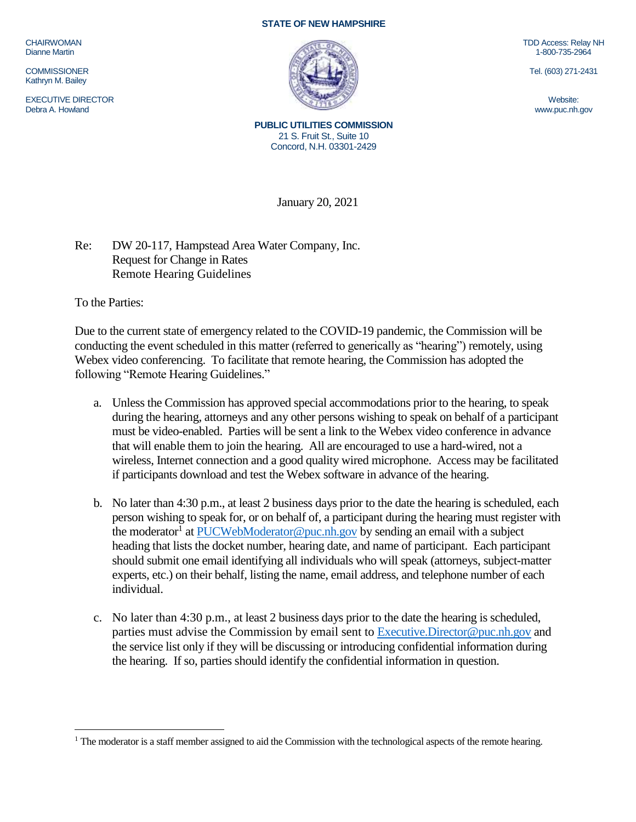CHAIRWOMAN Dianne Martin

**COMMISSIONER** Kathryn M. Bailey

EXECUTIVE DIRECTOR Debra A. Howland

## **STATE OF NEW HAMPSHIRE**



TDD Access: Relay NH 1-800-735-2964

Tel. (603) 271-2431

Website: www.puc.nh.gov

**PUBLIC UTILITIES COMMISSION** 21 S. Fruit St., Suite 10 Concord, N.H. 03301-2429

January 20, 2021

Re: DW 20-117, Hampstead Area Water Company, Inc. Request for Change in Rates Remote Hearing Guidelines

To the Parties:

 $\overline{a}$ 

Due to the current state of emergency related to the COVID-19 pandemic, the Commission will be conducting the event scheduled in this matter (referred to generically as "hearing") remotely, using Webex video conferencing. To facilitate that remote hearing, the Commission has adopted the following "Remote Hearing Guidelines."

- a. Unless the Commission has approved special accommodations prior to the hearing, to speak during the hearing, attorneys and any other persons wishing to speak on behalf of a participant must be video-enabled. Parties will be sent a link to the Webex video conference in advance that will enable them to join the hearing. All are encouraged to use a hard-wired, not a wireless, Internet connection and a good quality wired microphone. Access may be facilitated if participants download and test the Webex software in advance of the hearing.
- b. No later than 4:30 p.m., at least 2 business days prior to the date the hearing is scheduled, each person wishing to speak for, or on behalf of, a participant during the hearing must register with the moderator<sup>1</sup> at [PUCWebModerator@puc.nh.gov](mailto:PUCWebModerator@puc.nh.gov) by sending an email with a subject heading that lists the docket number, hearing date, and name of participant. Each participant should submit one email identifying all individuals who will speak (attorneys, subject-matter experts, etc.) on their behalf, listing the name, email address, and telephone number of each individual.
- c. No later than 4:30 p.m., at least 2 business days prior to the date the hearing is scheduled, parties must advise the Commission by email sent to [Executive.Director@puc.nh.gov](mailto:Executive.Director@puc.nh.gov) and the service list only if they will be discussing or introducing confidential information during the hearing. If so, parties should identify the confidential information in question.

 $<sup>1</sup>$  The moderator is a staff member assigned to aid the Commission with the technological aspects of the remote hearing.</sup>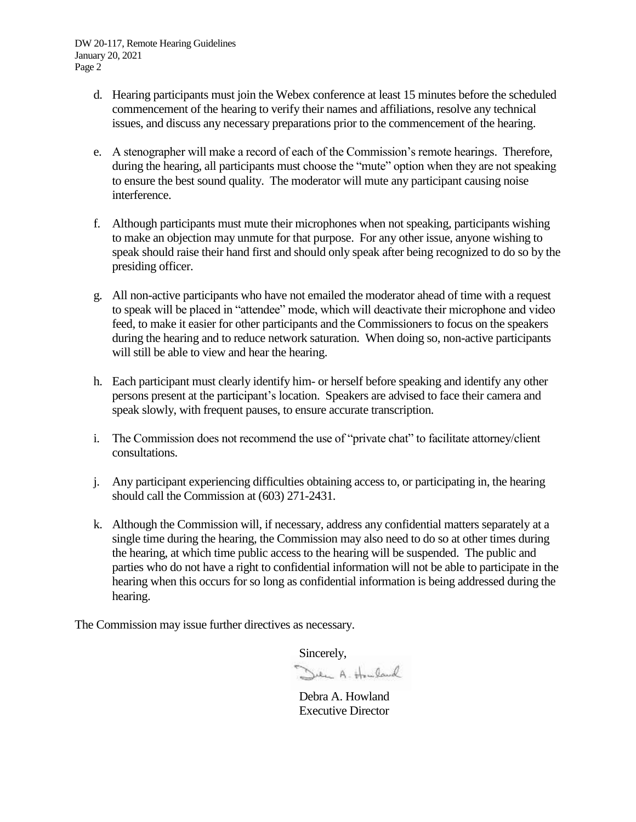- d. Hearing participants must join the Webex conference at least 15 minutes before the scheduled commencement of the hearing to verify their names and affiliations, resolve any technical issues, and discuss any necessary preparations prior to the commencement of the hearing.
- e. A stenographer will make a record of each of the Commission's remote hearings. Therefore, during the hearing, all participants must choose the "mute" option when they are not speaking to ensure the best sound quality. The moderator will mute any participant causing noise interference.
- f. Although participants must mute their microphones when not speaking, participants wishing to make an objection may unmute for that purpose. For any other issue, anyone wishing to speak should raise their hand first and should only speak after being recognized to do so by the presiding officer.
- g. All non-active participants who have not emailed the moderator ahead of time with a request to speak will be placed in "attendee" mode, which will deactivate their microphone and video feed, to make it easier for other participants and the Commissioners to focus on the speakers during the hearing and to reduce network saturation. When doing so, non-active participants will still be able to view and hear the hearing.
- h. Each participant must clearly identify him- or herself before speaking and identify any other persons present at the participant's location. Speakers are advised to face their camera and speak slowly, with frequent pauses, to ensure accurate transcription.
- i. The Commission does not recommend the use of "private chat" to facilitate attorney/client consultations.
- j. Any participant experiencing difficulties obtaining access to, or participating in, the hearing should call the Commission at (603) 271-2431.
- k. Although the Commission will, if necessary, address any confidential matters separately at a single time during the hearing, the Commission may also need to do so at other times during the hearing, at which time public access to the hearing will be suspended. The public and parties who do not have a right to confidential information will not be able to participate in the hearing when this occurs for so long as confidential information is being addressed during the hearing.

The Commission may issue further directives as necessary.

Sincerely,<br>Den A. Househouse

Debra A. Howland Executive Director